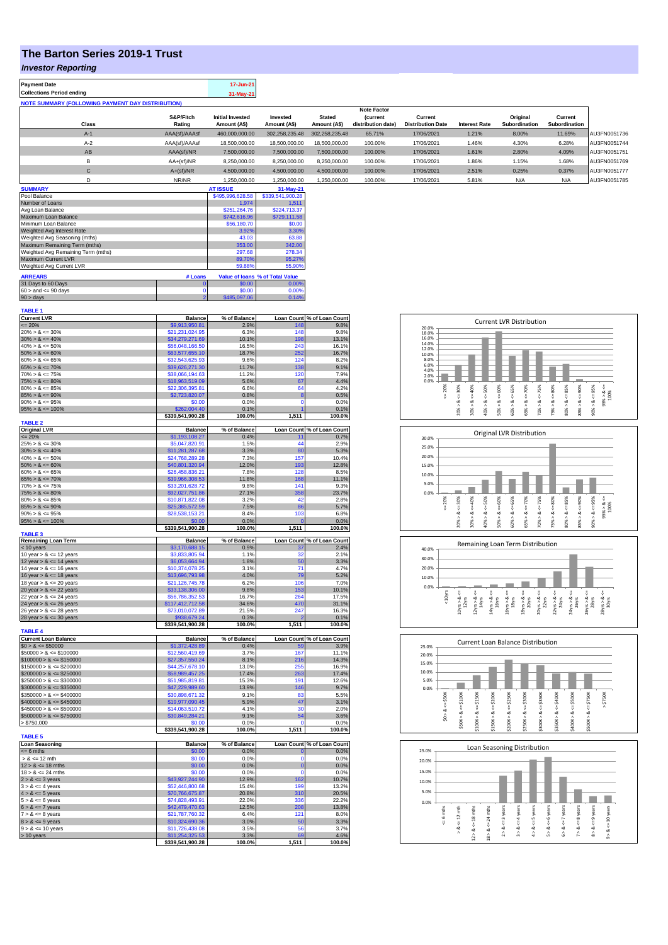## **The Barton Series 2019-1 Trust**

## *Investor Reporting*

| <b>Payment Date</b>                                      | 17-Jun-21 |
|----------------------------------------------------------|-----------|
| <b>Collections Period ending</b>                         | 31-May-21 |
| <b>NOTE SUMMARY (FOLLOWING PAYMENT DAY DISTRIBUTION)</b> |           |

|              |               |                         |                |                | <b>Note Factor</b> |                          |                      |                      |               |              |
|--------------|---------------|-------------------------|----------------|----------------|--------------------|--------------------------|----------------------|----------------------|---------------|--------------|
|              | S&P/Fitch     | <b>Initial Invested</b> | Invested       | <b>Stated</b>  | <b>(current</b>    | Current                  |                      | Original             | Current       |              |
| <b>Class</b> | Rating        | Amount (A\$)            | Amount (A\$)   | Amount (A\$)   | distribution date) | <b>Distribution Date</b> | <b>Interest Rate</b> | <b>Subordination</b> | Subordination |              |
| $A-1$        | AAA(sf)/AAAsf | 460,000,000.00          | 302.258.235.48 | 302.258.235.48 | 65.71%             | 17/06/2021               | 1.21%                | 8.00%                | 11.69%        | AU3FN0051736 |
| $A-2$        | AAA(sf)/AAAsf | 18,500,000.00           | 18,500,000,00  | 18,500,000,00  | 100.00%            | 17/06/2021               | 1.46%                | 4.30%                | 6.28%         | AU3FN0051744 |
| AB           | AAA(sf)/NR    | 7.500.000.00            | 7.500.000.00   | 7.500.000.00   | 100.00%            | 17/06/2021               | 1.61%                | 2.80%                | 4.09%         | AU3FN0051751 |
|              | $AA+(sf)/NR$  | 8,250,000.00            | 8.250.000.00   | 8,250,000.00   | 100.00%            | 17/06/2021               | 1.86%                | 1.15%                | 1.68%         | AU3FN0051769 |
| $\sim$<br>U  | $A+(sf)/NR$   | 4,500,000.00            | 4.500.000.00   | 4,500,000.00   | 100.00%            | 17/06/2021               | 2.51%                | 0.25%                | 0.37%         | AU3FN0051777 |
|              | NR/NR         | 1,250,000.00            | 1.250.000.00   | 1,250,000.00   | 100.00%            | 17/06/2021               | 5.81%                | N/A                  | N/A           | AU3FN0051785 |
|              |               |                         |                |                |                    |                          |                      |                      |               |              |

| <b>SUMMARY</b>                     |          | <b>AT ISSUE</b>  | $31-May-21$                     |
|------------------------------------|----------|------------------|---------------------------------|
| Pool Balance                       |          | \$495,996,628.58 | \$339,541,900.28                |
| Number of Loans                    |          | 1.974            | 1.511                           |
| Avg Loan Balance                   |          | \$251.264.76     | \$224,713,37                    |
| Maximum Loan Balance               |          | \$742,616.96     | \$729,111.58                    |
| Minimum Loan Balance               |          | \$56,180.70      | \$0.00                          |
| Weighted Avg Interest Rate         |          | 3.92%            | 3.30%                           |
| Weighted Avg Seasoning (mths)      |          | 43.03            | 63.88                           |
| Maximum Remaining Term (mths)      |          | 353.00           | 342.00                          |
| Weighted Avg Remaining Term (mths) |          | 297.68           | 278.34                          |
| Maximum Current LVR                |          | 89.70%           | 95.27%                          |
| Weighted Avg Current LVR           |          | 59.88%           | 55.90%                          |
| <b>ARREARS</b>                     | # Loans  |                  | Value of Ioans % of Total Value |
| 31 Days to 60 Days                 | $\bf{0}$ | \$0.00           | 0.00%                           |
| $60 >$ and $\leq 90$ days          | o        | \$0.00           | 0.00%                           |
| $90 >$ days                        | 2        | \$485,097.06     | 0.14%                           |

| <b>TABLE 1</b>                                           |                                     |                |                       |                            |
|----------------------------------------------------------|-------------------------------------|----------------|-----------------------|----------------------------|
| <b>Current LVR</b>                                       | <b>Balance</b>                      | % of Balance   |                       | Loan Count % of Loan Count |
| $\leq$ 20%                                               | \$9,913,950.81                      | 2.9%           | 148                   | 9.8%                       |
| $20\% > 8 \le 30\%$                                      | \$21,231,024.95                     | 6.3%           | 148                   | 9.8%                       |
| $30\% > 8 \le 40\%$<br>$40\% > 8 \le 50\%$               | \$34,279,271.69<br>\$56,048,166.50  | 10.1%<br>16.5% | 198<br>243            | 13.1%<br>16.1%             |
| $50\% > 8 \le 60\%$                                      | \$63,577,655.10                     | 18.7%          | 252                   | 16.7%                      |
| $60\% > 8 \le 65\%$                                      | \$32,543,625.93                     | 9.6%           | 124                   | 8.2%                       |
| $65\% > 8 \le 70\%$                                      | \$39,626,271.30                     | 11.7%          | 138                   | 9.1%                       |
| $70\% > 8 \le 75\%$                                      | \$38,066,194.63                     | 11.2%          | 120                   | 7.9%                       |
| $75\% > 8 \le 80\%$                                      | \$18,963,519.09                     | 5.6%           | 67                    | 4.4%                       |
| $80\% > 8 \le 85\%$                                      | \$22,306,395.81                     | 6.6%           | 64                    | 4.2%                       |
| $85\% > 8 \le 90\%$                                      | \$2,723,820.07                      | 0.8%           | 8                     | 0.5%                       |
| $90\% > 8 \le 95\%$                                      | \$0.00                              | 0.0%           | Ō                     | 0.0%                       |
| $95\% > 8 \le 100\%$                                     | \$262,004.40                        | 0.1%           | 1                     | 0.1%                       |
|                                                          | \$339,541,900.28                    | 100.0%         | 1,511                 | 100.0%                     |
| <b>TABLE 2</b><br><b>Original LVR</b>                    | <b>Balance</b>                      | % of Balance   |                       | Loan Count % of Loan Count |
| $\leq$ 20%                                               | \$1,193,108.27                      | 0.4%           | 11                    | 0.7%                       |
| $25\% > 8 \le 30\%$                                      | \$5,047,820.91                      | 1.5%           | 44                    | 2.9%                       |
| $30\% > 8 \le 40\%$                                      | \$11,281,287.68                     | 3.3%           | 80                    | 5.3%                       |
| $40\% > 8 \le 50\%$                                      | \$24,768,289.28                     | 7.3%           | 157                   | 10.4%                      |
| $50\% > 8 \le 60\%$                                      | \$40,801,320.94                     | 12.0%          | 193                   | 12.8%                      |
| $60\% > 8 \le 65\%$                                      | \$26,458,836.21                     | 7.8%           | 128                   | 8.5%                       |
| $65\% > 8 \le 70\%$                                      | \$39,966,308.53                     | 11.8%          | 168                   | 11.1%                      |
| $70\% > 8 \le 75\%$                                      | \$33,201,628.72                     | 9.8%           | 141                   | 9.3%                       |
| $75\% > 8 \le 80\%$                                      | \$92,027,751.86                     | 27.1%          | 358                   | 23.7%                      |
| $80\% > 8 \le 85\%$                                      | \$10,871,822.08                     | 3.2%           | 42                    | 2.8%                       |
| $85\% > 8 \le 90\%$                                      | \$25,385,572.59                     | 7.5%           | 86                    | 5.7%                       |
| $90\% > 8 \le 95\%$<br>$95\% > 8 \le 100\%$              | \$28,538,153.21<br>\$0.00           | 8.4%<br>0.0%   | 103<br>$\overline{0}$ | 6.8%<br>0.0%               |
|                                                          | \$339,541,900.28                    | 100.0%         | 1,511                 | 100.0%                     |
| <b>TABLE 3</b>                                           |                                     |                |                       |                            |
| <b>Remaining Loan Term</b>                               | <b>Balance</b>                      | % of Balance   |                       | Loan Count % of Loan Count |
| < 10 years                                               | \$3,170,688.15                      | 0.9%           | 37                    | 2.4%                       |
| 10 year $> 8 \le 12$ years                               | \$3,833,805.94                      | 1.1%           | 32                    | 2.1%                       |
| 12 year $> 8 \le 14$ years                               | \$6,053,664.94                      | 1.8%           | 50                    | 3.3%                       |
| 14 year $> 8 \le 16$ years                               | \$10,374,078.25                     | 3.1%<br>4.0%   | 71<br>79              | 4.7%<br>5.2%               |
| 16 year $> 8 \le 18$ years<br>18 year $> 8 \le 20$ years | \$13,696,793.98<br>\$21,126,745.78  | 6.2%           | 106                   | 7.0%                       |
| 20 year $> 8 \le 22$ years                               | \$33,138,306.00                     | 9.8%           | 153                   | 10.1%                      |
| 22 year $> 8 \le 24$ years                               | \$56,786,352.53                     | 16.7%          | 264                   | 17.5%                      |
| 24 year $> 8 \le 26$ years                               | \$117,412,712.58                    | 34.6%          | 470                   | 31.1%                      |
| 26 year $> 8 \le 28$ years                               | \$73,010,072.89                     | 21.5%          | 247                   | 16.3%                      |
| 28 year $> 8 \le 30$ years                               | \$938,679.24                        | 0.3%           |                       | 0.1%                       |
|                                                          | \$339,541,900.28                    | 100.0%         | 1,511                 | 100.0%                     |
| <b>TABLE 4</b>                                           |                                     |                |                       |                            |
| <b>Current Loan Balance</b>                              | <b>Balance</b>                      | % of Balance   |                       | Loan Count % of Loan Count |
| $$0 > 8 \le $50000$<br>$$50000 > 8 \le $100000$          | \$1,372,428.89                      | 0.4%<br>3.7%   | 59<br>167             | 3.9%<br>11.1%              |
| $$100000 > 8 \le $150000$                                | \$12,560,419.69<br>\$27,357,550.24  | 8.1%           | 216                   | 14.3%                      |
| $$150000 > 8 \le $200000$                                | \$44,257,678.10                     | 13.0%          | 255                   | 16.9%                      |
| $$200000 > 8 \leq $250000$                               | \$58,989,457.25                     | 17.4%          | 263                   | 17.4%                      |
| $$250000 > 8 \le $300000$                                | \$51,985,819.81                     | 15.3%          | 191                   | 12.6%                      |
| $$300000 > 8 \le $350000$                                | \$47,229,989.60                     | 13.9%          | 146                   | 9.7%                       |
| $$350000 > 8 \le $400000$                                | \$30,898,671.32                     | 9.1%           | 83                    | 5.5%                       |
| $$400000 > 8 \leq $450000$                               | \$19,977,090.45                     | 5.9%           | 47                    | 3.1%                       |
| $$450000 > 8 \le $500000$                                | \$14.063.510.72                     | 4.1%           | 30                    | 2.0%                       |
| $$500000 > 8 \le $750000$                                | \$30,849,284.21                     | 9.1%           | 54                    | 3.6%                       |
| > \$750,000                                              | \$0.00                              | 0.0%           | $\Omega$              | 0.0%                       |
| <b>TABLE 5</b>                                           | \$339,541,900.28                    | 100.0%         | 1,511                 | 100.0%                     |
| <b>Loan Seasoning</b>                                    | <b>Balance</b>                      | % of Balance   |                       | Loan Count % of Loan Count |
| $= 6$ mths                                               | \$0.00                              | 0.0%           | $\mathbf 0$           | 0.0%                       |
| $> 8 \le 12$ mth                                         | \$0.00                              | 0.0%           | 0                     | 0.0%                       |
| $12 > 8 \le 18$ mths                                     | \$0.00                              | 0.0%           | $\bf{0}$              | 0.0%                       |
| $18 > 8 \le 24$ mths                                     | \$0.00                              | 0.0%           | $\Omega$              | 0.0%                       |
| $2 > 8 \le 3$ years                                      | \$43,927,244.90                     | 12.9%          | 162                   | 10.7%                      |
| $3 > 8 \le 4$ years                                      | \$52,446,800.68                     | 15.4%          | 199                   | 13.2%                      |
| $4 > 8 \le 5$ years                                      | \$70,766,675.87                     | 20.8%          | 310                   | 20.5%                      |
| $5 > 8 \le 6$ years                                      | \$74,828,493.91                     | 22.0%          | 336                   | 22.2%                      |
| $6 > 8 \le 7$ years                                      | \$42,479,470.63                     | 12.5%          | 208                   | 13.8%                      |
| $7 > 8 \le 8$ years                                      | \$21,787,760.32                     | 6.4%           | 121                   | 8.0%                       |
| $8 > 8 \le 9$ years                                      | \$10,324,690.36                     | 3.0%           | 50                    | 3.3%                       |
| $9 > 8 \le 10$ years                                     | \$11,726,438.08                     | 3.5%           | 56<br>69              | 3.7%                       |
| > 10 years                                               | \$11,254,325.53<br>\$339,541,900.28 | 3.3%<br>100.0% | 1,511                 | 4.6%<br>100.0%             |
|                                                          |                                     |                |                       |                            |

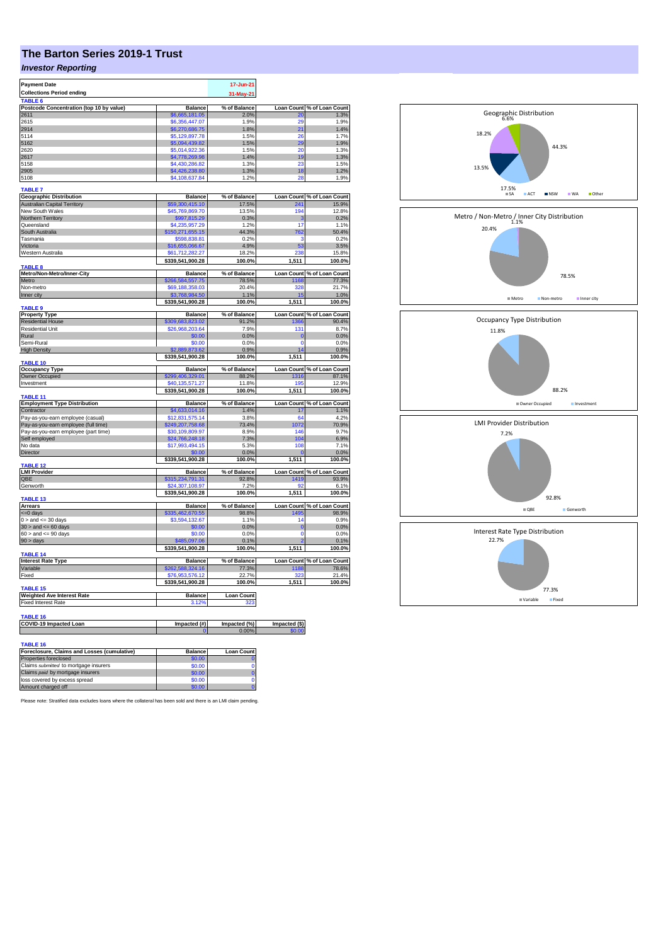# **The Barton Series 2019-1 Trust**

## *Investor Reporting*

| <b>Payment Date</b>                      |                                  | 17-Jun-21         |                   |                                                                                                                                                                                                                                               |
|------------------------------------------|----------------------------------|-------------------|-------------------|-----------------------------------------------------------------------------------------------------------------------------------------------------------------------------------------------------------------------------------------------|
| <b>Collections Period ending</b>         |                                  | 31-May-21         |                   |                                                                                                                                                                                                                                               |
| <b>TABLE 6</b>                           |                                  |                   |                   |                                                                                                                                                                                                                                               |
| Postcode Concentration (top 10 by value) | <b>Balance</b>                   | % of Balance      | Loan Count        | % of Loan Count                                                                                                                                                                                                                               |
| 2611                                     | \$6,665,181.05                   | 2.0%              | 20                | 1.3%                                                                                                                                                                                                                                          |
| 2615                                     | \$6,356,447.07                   | 1.9%              | 20                | 1.9%                                                                                                                                                                                                                                          |
| 2914                                     | \$6,270,686.75                   | 1.8%              | 21                | 1.4%                                                                                                                                                                                                                                          |
| 5114<br>5162                             | \$5,129,897.78                   | 1.5%<br>1.5%      | 26<br>29          | 1.7%<br>1.9%                                                                                                                                                                                                                                  |
| 2620                                     | \$5,094,439.82<br>\$5,014,922.36 | 1.5%              | 20                | 1.3%                                                                                                                                                                                                                                          |
| 2617                                     | \$4,778,269.98                   | 1.4%              | 19                | 1.3%                                                                                                                                                                                                                                          |
| 5158                                     | \$4,430,286.82                   | 1.3%              | 23                | 1.5%                                                                                                                                                                                                                                          |
| 2905                                     | \$4,426,238.80                   | 1.3%              | 18                | 1.2%                                                                                                                                                                                                                                          |
| 5108                                     | \$4,108,637.84                   | 1.2%              | 28                | 1.9%                                                                                                                                                                                                                                          |
|                                          |                                  |                   |                   |                                                                                                                                                                                                                                               |
| <b>TABLE 7</b>                           |                                  |                   |                   |                                                                                                                                                                                                                                               |
| <b>Geographic Distribution</b>           | <b>Balance</b>                   | % of Balance      | <b>Loan Count</b> | % of Loan Count                                                                                                                                                                                                                               |
| <b>Australian Capital Territory</b>      | \$59,300,415.10                  | 17.5%             | 241               | 15.9%                                                                                                                                                                                                                                         |
| New South Wales                          | \$45,769,869.70                  | 13.5%             | 194               | 12.8%                                                                                                                                                                                                                                         |
| Northern Territory                       | \$997,815.29                     | 0.3%              | 3                 | 0.2%                                                                                                                                                                                                                                          |
| Queensland<br>South Australia            | \$4,235,957.29                   | 1.2%<br>44.3%     | 17<br>762         | 1.1%<br>50.4%                                                                                                                                                                                                                                 |
| Tasmania                                 | \$150,271,655.15<br>\$598,838.81 | 0.2%              | з                 | 0.2%                                                                                                                                                                                                                                          |
| Victoria                                 | \$16,655,066.67                  | 4.9%              | 53                | 3.5%                                                                                                                                                                                                                                          |
| Western Australia                        | \$61,712,282.27                  | 18.2%             | 238               | 15.8%                                                                                                                                                                                                                                         |
|                                          | \$339,541,900.28                 | 100.0%            | 1,511             | 100.0%                                                                                                                                                                                                                                        |
| TABLE <sub>8</sub>                       |                                  |                   |                   |                                                                                                                                                                                                                                               |
| Metro/Non-Metro/Inner-City               | <b>Balance</b>                   | % of Balance      | <b>Loan Count</b> | % of Loan Count                                                                                                                                                                                                                               |
| Metro                                    | \$266,584,557.75                 | 78.5%             | 1168              | 77.3%                                                                                                                                                                                                                                         |
| Non-metro                                | \$69.188.358.03                  | 20.4%             | 328               | 21.7%                                                                                                                                                                                                                                         |
| Inner city                               | \$3,768,984.50                   | 1.1%              | 15                | 1.0%                                                                                                                                                                                                                                          |
|                                          | \$339,541,900.28                 | 100.0%            | 1,511             | 100.0%                                                                                                                                                                                                                                        |
| <b>TABLE 9</b>                           |                                  |                   |                   |                                                                                                                                                                                                                                               |
| <b>Property Type</b>                     | <b>Balance</b>                   | % of Balance      |                   | Loan Count % of Loan Count                                                                                                                                                                                                                    |
| <b>Residential House</b>                 | \$309,683,823.02                 | 91.2%             | 1366              | 90.4%                                                                                                                                                                                                                                         |
| <b>Residential Unit</b>                  | \$26,968,203.64                  | 7.9%              | 131               | 8.7%                                                                                                                                                                                                                                          |
| Rural                                    | \$0.00                           | 0.0%              | $\Omega$          | 0.0%                                                                                                                                                                                                                                          |
| Semi-Rural                               | \$0.00                           | 0.0%              | $\mathbf{0}$      | 0.0%                                                                                                                                                                                                                                          |
| <b>High Density</b>                      | 2,889,873.62<br>\$339,541,900.28 | 0.9%<br>100.0%    | 14<br>1,511       | 0.9%<br>100.0%                                                                                                                                                                                                                                |
| TABLE 10                                 |                                  |                   |                   |                                                                                                                                                                                                                                               |
| <b>Occupancy Type</b>                    | <b>Balance</b>                   | % of Balance      |                   | Loan Count % of Loan Count                                                                                                                                                                                                                    |
| <b>Owner Occupied</b>                    | \$299,406,329.01                 | 88.2%             | 1316              | 87.1%                                                                                                                                                                                                                                         |
| Investment                               | \$40,135,571.27                  | 11.8%             | 195               | 12.9%                                                                                                                                                                                                                                         |
|                                          | \$339,541,900.28                 | 100.0%            | 1,511             | 100.0%                                                                                                                                                                                                                                        |
| TABLE 11                                 |                                  |                   |                   |                                                                                                                                                                                                                                               |
|                                          |                                  | % of Balance      |                   | Loan Count % of Loan Count                                                                                                                                                                                                                    |
| <b>Employment Type Distribution</b>      | <b>Balance</b>                   |                   |                   |                                                                                                                                                                                                                                               |
| Contractor                               | \$4,633,014.16                   | 1.4%              | 17                |                                                                                                                                                                                                                                               |
| Pay-as-you-earn employee (casual)        | \$12,831,575.14                  | 3.8%              | 64                |                                                                                                                                                                                                                                               |
| Pay-as-you-earn employee (full time)     | \$249.207.758.68                 | 73.4%             | 1072              |                                                                                                                                                                                                                                               |
| Pay-as-you-earn employee (part time)     | \$30,109,809.97                  | 8.9%              | 146               |                                                                                                                                                                                                                                               |
| Self employed                            | \$24,766,248.18                  | 7.3%              | 104               |                                                                                                                                                                                                                                               |
| No data                                  | \$17,993,494.15                  | 5.3%              | 108               |                                                                                                                                                                                                                                               |
| Director                                 | \$0.00                           | 0.0%              |                   |                                                                                                                                                                                                                                               |
| TABLE 12                                 | \$339,541,900.28                 | 100.0%            | 1,511             |                                                                                                                                                                                                                                               |
| <b>LMI Provider</b>                      | <b>Balance</b>                   | % of Balance      |                   |                                                                                                                                                                                                                                               |
| OBE                                      | \$315,234,791.31                 | 92.8%             | 1419              |                                                                                                                                                                                                                                               |
| Genworth                                 | \$24,307,108.97                  | 7.2%              | 92                |                                                                                                                                                                                                                                               |
|                                          | \$339,541,900.28                 | 100.0%            | 1,511             |                                                                                                                                                                                                                                               |
| TABLE 13                                 |                                  |                   |                   |                                                                                                                                                                                                                                               |
| <b>Arrears</b>                           | <b>Balance</b>                   | % of Balance      | <b>Loan Count</b> |                                                                                                                                                                                                                                               |
| <= 0 days                                | \$335.462.670.55                 | 98.8%             | 1495              |                                                                                                                                                                                                                                               |
| $0 >$ and $\leq 30$ days                 | \$3,594,132.67                   | 1.1%              | 14                |                                                                                                                                                                                                                                               |
| $30 >$ and $\leq 60$ days                | \$0.00                           | 0.0%              | $\overline{0}$    |                                                                                                                                                                                                                                               |
| $60 >$ and $\leq 90$ days                | \$0.00                           | 0.0%              | $\mathbf 0$       |                                                                                                                                                                                                                                               |
| $90 > \text{days}$                       | 485,097.06                       | 0.1%              |                   |                                                                                                                                                                                                                                               |
| <b>TABLE 14</b>                          | \$339,541,900.28                 | 100.0%            | 1,511             |                                                                                                                                                                                                                                               |
| <b>Interest Rate Type</b>                | <b>Balance</b>                   | % of Balance      | <b>Loan Count</b> |                                                                                                                                                                                                                                               |
| Variable                                 | \$262,588,324.16                 | 77.3%             | 1188              |                                                                                                                                                                                                                                               |
| Fixed                                    | \$76,953,576.12                  | 22.7%             | 323               |                                                                                                                                                                                                                                               |
|                                          | \$339,541,900.28                 | 100.0%            | 1,511             |                                                                                                                                                                                                                                               |
| TABLE 15                                 |                                  |                   |                   |                                                                                                                                                                                                                                               |
| <b>Weighted Ave Interest Rate</b>        | <b>Balance</b>                   | <b>Loan Count</b> |                   |                                                                                                                                                                                                                                               |
| <b>Fixed Interest Rate</b>               | 3.12%                            | 323               |                   |                                                                                                                                                                                                                                               |
|                                          |                                  |                   |                   |                                                                                                                                                                                                                                               |
| <b>TABLE 16</b>                          |                                  |                   |                   |                                                                                                                                                                                                                                               |
| COVID-19 Impacted Loan                   | Impacted (#)                     | Impacted (%)      | Impacted (\$)     |                                                                                                                                                                                                                                               |
|                                          |                                  | 0.00%             | <b>0.00</b>       | 1.1%<br>4.2%<br>70.9%<br>9.7%<br>6.9%<br>7.1%<br>0.0%<br>100.0%<br>Loan Count % of Loan Count<br>93.9%<br>6.1%<br>100.0%<br>% of Loan Count<br>98.9%<br>0.9%<br>0.0%<br>0.0%<br>0.1%<br>100.0%<br>% of Loan Count<br>78.6%<br>21.4%<br>100.0% |
| TABLE 16                                 |                                  |                   |                   |                                                                                                                                                                                                                                               |

| Foreclosure, Claims and Losses (cumulative) | <b>Balance</b> | <b>Loan Count</b> |
|---------------------------------------------|----------------|-------------------|
| Properties foreclosed                       | \$0.00         |                   |
| Claims submitted to mortgage insurers       | \$0.00         |                   |
| Claims paid by mortgage insurers            | \$0.00         |                   |
| loss covered by excess spread               | \$0.00         |                   |
| Amount charged off                          | \$0.00         |                   |

Please note: Stratified data excludes loans where the collateral has been sold and there is an LMI claim pending.